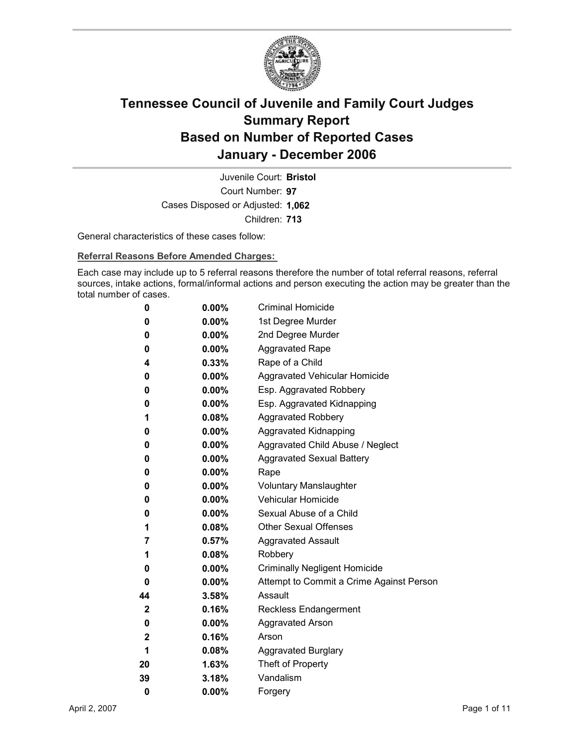

Court Number: **97** Juvenile Court: **Bristol** Cases Disposed or Adjusted: **1,062** Children: **713**

General characteristics of these cases follow:

**Referral Reasons Before Amended Charges:** 

Each case may include up to 5 referral reasons therefore the number of total referral reasons, referral sources, intake actions, formal/informal actions and person executing the action may be greater than the total number of cases.

| 0            | $0.00\%$ | <b>Criminal Homicide</b>                 |
|--------------|----------|------------------------------------------|
| 0            | $0.00\%$ | 1st Degree Murder                        |
| 0            | $0.00\%$ | 2nd Degree Murder                        |
| 0            | $0.00\%$ | <b>Aggravated Rape</b>                   |
| 4            | $0.33\%$ | Rape of a Child                          |
| 0            | $0.00\%$ | Aggravated Vehicular Homicide            |
| 0            | $0.00\%$ | Esp. Aggravated Robbery                  |
| 0            | $0.00\%$ | Esp. Aggravated Kidnapping               |
| 1            | $0.08\%$ | <b>Aggravated Robbery</b>                |
| 0            | $0.00\%$ | <b>Aggravated Kidnapping</b>             |
| 0            | $0.00\%$ | Aggravated Child Abuse / Neglect         |
| 0            | $0.00\%$ | <b>Aggravated Sexual Battery</b>         |
| 0            | $0.00\%$ | Rape                                     |
| 0            | $0.00\%$ | <b>Voluntary Manslaughter</b>            |
| 0            | $0.00\%$ | <b>Vehicular Homicide</b>                |
| 0            | $0.00\%$ | Sexual Abuse of a Child                  |
| 1            | $0.08\%$ | <b>Other Sexual Offenses</b>             |
| 7            | $0.57\%$ | <b>Aggravated Assault</b>                |
| 1            | $0.08\%$ | Robbery                                  |
| 0            | $0.00\%$ | <b>Criminally Negligent Homicide</b>     |
| 0            | $0.00\%$ | Attempt to Commit a Crime Against Person |
| 44           | 3.58%    | Assault                                  |
| $\mathbf{2}$ | 0.16%    | <b>Reckless Endangerment</b>             |
| 0            | $0.00\%$ | <b>Aggravated Arson</b>                  |
| 2            | $0.16\%$ | Arson                                    |
| 1            | $0.08\%$ | <b>Aggravated Burglary</b>               |
| 20           | $1.63\%$ | Theft of Property                        |
| 39           | 3.18%    | Vandalism                                |
| 0            | 0.00%    | Forgery                                  |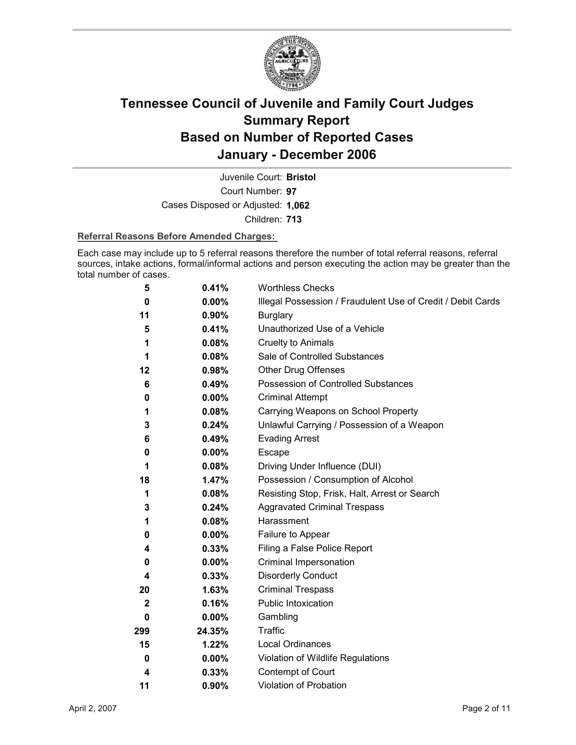

Court Number: **97** Juvenile Court: **Bristol** Cases Disposed or Adjusted: **1,062** Children: **713**

### **Referral Reasons Before Amended Charges:**

Each case may include up to 5 referral reasons therefore the number of total referral reasons, referral sources, intake actions, formal/informal actions and person executing the action may be greater than the total number of cases.

| 5            | 0.41%    | <b>Worthless Checks</b>                                     |
|--------------|----------|-------------------------------------------------------------|
| 0            | $0.00\%$ | Illegal Possession / Fraudulent Use of Credit / Debit Cards |
| 11           | $0.90\%$ | <b>Burglary</b>                                             |
| 5            | 0.41%    | Unauthorized Use of a Vehicle                               |
| 1            | 0.08%    | <b>Cruelty to Animals</b>                                   |
| 1            | 0.08%    | Sale of Controlled Substances                               |
| 12           | 0.98%    | <b>Other Drug Offenses</b>                                  |
| 6            | 0.49%    | Possession of Controlled Substances                         |
| 0            | 0.00%    | <b>Criminal Attempt</b>                                     |
| 1            | 0.08%    | Carrying Weapons on School Property                         |
| 3            | 0.24%    | Unlawful Carrying / Possession of a Weapon                  |
| 6            | 0.49%    | <b>Evading Arrest</b>                                       |
| 0            | $0.00\%$ | Escape                                                      |
| 1            | 0.08%    | Driving Under Influence (DUI)                               |
| 18           | 1.47%    | Possession / Consumption of Alcohol                         |
| 1            | 0.08%    | Resisting Stop, Frisk, Halt, Arrest or Search               |
| 3            | 0.24%    | <b>Aggravated Criminal Trespass</b>                         |
| 1            | 0.08%    | Harassment                                                  |
| 0            | $0.00\%$ | Failure to Appear                                           |
| 4            | 0.33%    | Filing a False Police Report                                |
| 0            | $0.00\%$ | Criminal Impersonation                                      |
| 4            | 0.33%    | <b>Disorderly Conduct</b>                                   |
| 20           | 1.63%    | <b>Criminal Trespass</b>                                    |
| $\mathbf{2}$ | 0.16%    | <b>Public Intoxication</b>                                  |
| 0            | $0.00\%$ | Gambling                                                    |
| 299          | 24.35%   | <b>Traffic</b>                                              |
| 15           | 1.22%    | Local Ordinances                                            |
| 0            | $0.00\%$ | Violation of Wildlife Regulations                           |
| 4            | 0.33%    | Contempt of Court                                           |
| 11           | $0.90\%$ | Violation of Probation                                      |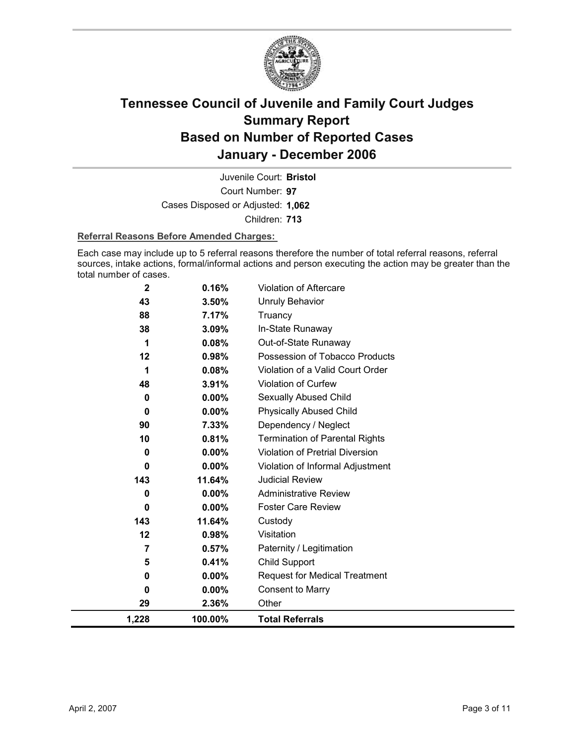

Court Number: **97** Juvenile Court: **Bristol** Cases Disposed or Adjusted: **1,062** Children: **713**

### **Referral Reasons Before Amended Charges:**

Each case may include up to 5 referral reasons therefore the number of total referral reasons, referral sources, intake actions, formal/informal actions and person executing the action may be greater than the total number of cases.

| $\mathbf{2}$ | 0.16%    | Violation of Aftercare                 |
|--------------|----------|----------------------------------------|
| 43           | 3.50%    | <b>Unruly Behavior</b>                 |
| 88           | 7.17%    | Truancy                                |
| 38           | 3.09%    | In-State Runaway                       |
| 1            | 0.08%    | Out-of-State Runaway                   |
| 12           | 0.98%    | Possession of Tobacco Products         |
| 1            | 0.08%    | Violation of a Valid Court Order       |
| 48           | 3.91%    | <b>Violation of Curfew</b>             |
| 0            | 0.00%    | Sexually Abused Child                  |
| $\bf{0}$     | 0.00%    | <b>Physically Abused Child</b>         |
| 90           | 7.33%    | Dependency / Neglect                   |
| 10           | 0.81%    | <b>Termination of Parental Rights</b>  |
| 0            | 0.00%    | <b>Violation of Pretrial Diversion</b> |
| 0            | 0.00%    | Violation of Informal Adjustment       |
| 143          | 11.64%   | <b>Judicial Review</b>                 |
| 0            | 0.00%    | <b>Administrative Review</b>           |
| 0            | 0.00%    | <b>Foster Care Review</b>              |
| 143          | 11.64%   | Custody                                |
| $12 \,$      | 0.98%    | Visitation                             |
| 7            | 0.57%    | Paternity / Legitimation               |
| 5            | 0.41%    | <b>Child Support</b>                   |
| 0            | $0.00\%$ | <b>Request for Medical Treatment</b>   |
| 0            | $0.00\%$ | <b>Consent to Marry</b>                |
| 29           | 2.36%    | Other                                  |
| 1,228        | 100.00%  | <b>Total Referrals</b>                 |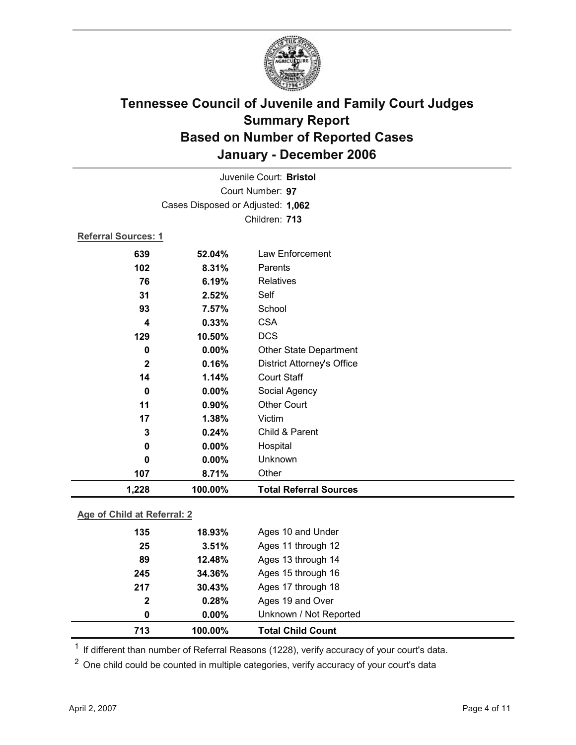

|                             |         | Juvenile Court: Bristol           |
|-----------------------------|---------|-----------------------------------|
|                             |         | Court Number: 97                  |
|                             |         | Cases Disposed or Adjusted: 1,062 |
|                             |         | Children: 713                     |
| Referral Sources: 1         |         |                                   |
| 639                         | 52.04%  | Law Enforcement                   |
| 102                         | 8.31%   | Parents                           |
| 76                          | 6.19%   | <b>Relatives</b>                  |
| 31                          | 2.52%   | Self                              |
| 93                          | 7.57%   | School                            |
| 4                           | 0.33%   | <b>CSA</b>                        |
| 129                         | 10.50%  | <b>DCS</b>                        |
| 0                           | 0.00%   | Other State Department            |
| $\mathbf 2$                 | 0.16%   | <b>District Attorney's Office</b> |
| 14                          | 1.14%   | <b>Court Staff</b>                |
| 0                           | 0.00%   | Social Agency                     |
| 11                          | 0.90%   | <b>Other Court</b>                |
| 17                          | 1.38%   | Victim                            |
| 3                           | 0.24%   | Child & Parent                    |
| 0                           | 0.00%   | Hospital                          |
| $\mathbf 0$                 | 0.00%   | Unknown                           |
| 107                         | 8.71%   | Other                             |
| 1,228                       | 100.00% | <b>Total Referral Sources</b>     |
| Age of Child at Referral: 2 |         |                                   |

**Age of Child at Referral: 2**

| 713          | 100.00%  | <b>Total Child Count</b> |
|--------------|----------|--------------------------|
| 0            | $0.00\%$ | Unknown / Not Reported   |
| $\mathbf{2}$ | 0.28%    | Ages 19 and Over         |
| 217          | 30.43%   | Ages 17 through 18       |
| 245          | 34.36%   | Ages 15 through 16       |
| 89           | 12.48%   | Ages 13 through 14       |
| 25           | 3.51%    | Ages 11 through 12       |
| 135          | 18.93%   | Ages 10 and Under        |
|              |          |                          |

 $1$  If different than number of Referral Reasons (1228), verify accuracy of your court's data.

<sup>2</sup> One child could be counted in multiple categories, verify accuracy of your court's data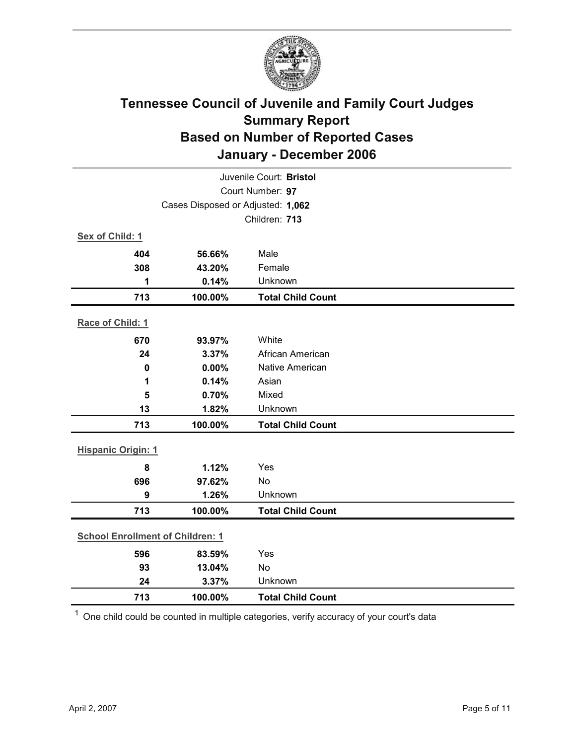

| Juvenile Court: Bristol                 |                                   |                          |  |
|-----------------------------------------|-----------------------------------|--------------------------|--|
|                                         | Court Number: 97                  |                          |  |
|                                         | Cases Disposed or Adjusted: 1,062 |                          |  |
|                                         |                                   | Children: 713            |  |
| Sex of Child: 1                         |                                   |                          |  |
| 404                                     | 56.66%                            | Male                     |  |
| 308                                     | 43.20%                            | Female                   |  |
| 1                                       | 0.14%                             | Unknown                  |  |
| 713                                     | 100.00%                           | <b>Total Child Count</b> |  |
| Race of Child: 1                        |                                   |                          |  |
| 670                                     | 93.97%                            | White                    |  |
| 24                                      | 3.37%                             | African American         |  |
| $\mathbf 0$                             | 0.00%                             | <b>Native American</b>   |  |
| 1                                       | 0.14%                             | Asian                    |  |
| 5                                       | 0.70%                             | Mixed                    |  |
| 13                                      | 1.82%                             | Unknown                  |  |
| 713                                     | 100.00%                           | <b>Total Child Count</b> |  |
| <b>Hispanic Origin: 1</b>               |                                   |                          |  |
| 8                                       | 1.12%                             | Yes                      |  |
| 696                                     | 97.62%                            | No                       |  |
| 9                                       | 1.26%                             | Unknown                  |  |
| 713                                     | 100.00%                           | <b>Total Child Count</b> |  |
| <b>School Enrollment of Children: 1</b> |                                   |                          |  |
| 596                                     | 83.59%                            | Yes                      |  |
| 93                                      | 13.04%                            | No                       |  |
| 24                                      | 3.37%                             | Unknown                  |  |
| 713                                     | 100.00%                           | <b>Total Child Count</b> |  |

 $1$  One child could be counted in multiple categories, verify accuracy of your court's data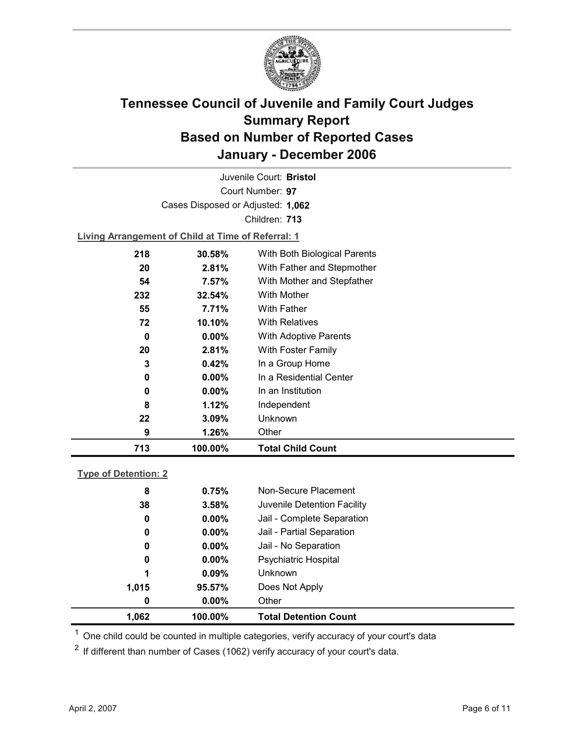

Court Number: **97** Juvenile Court: **Bristol** Cases Disposed or Adjusted: **1,062** Children: **713**

**Living Arrangement of Child at Time of Referral: 1**

| 713 | 100.00%  | <b>Total Child Count</b>     |
|-----|----------|------------------------------|
| 9   | 1.26%    | Other                        |
| 22  | 3.09%    | Unknown                      |
| 8   | 1.12%    | Independent                  |
| 0   | $0.00\%$ | In an Institution            |
| 0   | $0.00\%$ | In a Residential Center      |
| 3   | 0.42%    | In a Group Home              |
| 20  | 2.81%    | With Foster Family           |
| 0   | $0.00\%$ | <b>With Adoptive Parents</b> |
| 72  | 10.10%   | <b>With Relatives</b>        |
| 55  | 7.71%    | With Father                  |
| 232 | 32.54%   | With Mother                  |
| 54  | $7.57\%$ | With Mother and Stepfather   |
| 20  | 2.81%    | With Father and Stepmother   |
| 218 | 30.58%   | With Both Biological Parents |
|     |          |                              |

### **Type of Detention: 2**

| 1,062 | 100.00%  | <b>Total Detention Count</b> |  |
|-------|----------|------------------------------|--|
| 0     | $0.00\%$ | Other                        |  |
| 1,015 | 95.57%   | Does Not Apply               |  |
| 1     | 0.09%    | <b>Unknown</b>               |  |
| 0     | $0.00\%$ | <b>Psychiatric Hospital</b>  |  |
| 0     | $0.00\%$ | Jail - No Separation         |  |
| 0     | $0.00\%$ | Jail - Partial Separation    |  |
| 0     | $0.00\%$ | Jail - Complete Separation   |  |
| 38    | 3.58%    | Juvenile Detention Facility  |  |
| 8     | 0.75%    | Non-Secure Placement         |  |
|       |          |                              |  |

 $<sup>1</sup>$  One child could be counted in multiple categories, verify accuracy of your court's data</sup>

 $2$  If different than number of Cases (1062) verify accuracy of your court's data.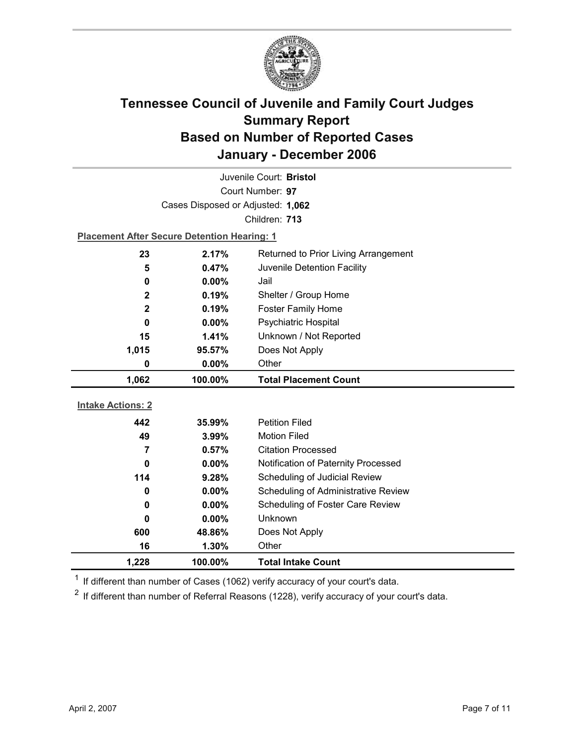

| Juvenile Court: Bristol  |                                                    |                                      |  |  |
|--------------------------|----------------------------------------------------|--------------------------------------|--|--|
| Court Number: 97         |                                                    |                                      |  |  |
|                          | Cases Disposed or Adjusted: 1,062                  |                                      |  |  |
|                          |                                                    | Children: 713                        |  |  |
|                          | <b>Placement After Secure Detention Hearing: 1</b> |                                      |  |  |
| 23                       | 2.17%                                              | Returned to Prior Living Arrangement |  |  |
| 5                        | 0.47%                                              | Juvenile Detention Facility          |  |  |
| 0                        | 0.00%                                              | Jail                                 |  |  |
| $\mathbf 2$              | 0.19%                                              | Shelter / Group Home                 |  |  |
| $\mathbf{2}$             | 0.19%                                              | <b>Foster Family Home</b>            |  |  |
| $\bf{0}$                 | 0.00%                                              | <b>Psychiatric Hospital</b>          |  |  |
| 15                       | 1.41%                                              | Unknown / Not Reported               |  |  |
| 1,015                    | 95.57%                                             | Does Not Apply                       |  |  |
| 0                        | $0.00\%$                                           | Other                                |  |  |
|                          |                                                    |                                      |  |  |
| 1,062                    | 100.00%                                            | <b>Total Placement Count</b>         |  |  |
|                          |                                                    |                                      |  |  |
| <b>Intake Actions: 2</b> |                                                    |                                      |  |  |
| 442                      | 35.99%                                             | <b>Petition Filed</b>                |  |  |
| 49                       | 3.99%                                              | <b>Motion Filed</b>                  |  |  |
| $\overline{7}$           | 0.57%                                              | <b>Citation Processed</b>            |  |  |
| $\bf{0}$                 | $0.00\%$                                           | Notification of Paternity Processed  |  |  |
| 114                      | 9.28%                                              | Scheduling of Judicial Review        |  |  |
| $\bf{0}$                 | 0.00%                                              | Scheduling of Administrative Review  |  |  |
| $\bf{0}$                 | $0.00\%$                                           | Scheduling of Foster Care Review     |  |  |
| 0                        | $0.00\%$                                           | Unknown                              |  |  |
| 600                      | 48.86%                                             | Does Not Apply                       |  |  |
| 16<br>1,228              | 1.30%<br>100.00%                                   | Other<br><b>Total Intake Count</b>   |  |  |

 $1$  If different than number of Cases (1062) verify accuracy of your court's data.

 $2$  If different than number of Referral Reasons (1228), verify accuracy of your court's data.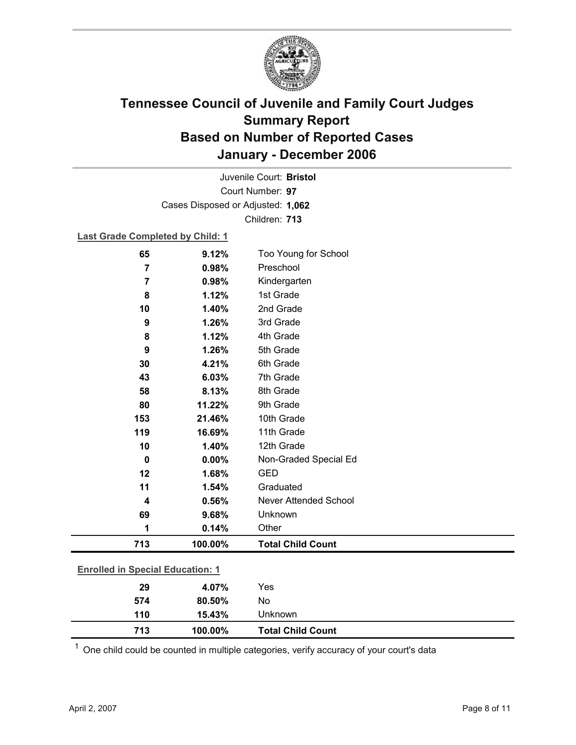

Court Number: **97** Juvenile Court: **Bristol** Cases Disposed or Adjusted: **1,062** Children: **713**

### **Last Grade Completed by Child: 1**

| 65                                      | 9.12%   | Too Young for School         |  |
|-----------------------------------------|---------|------------------------------|--|
| 7                                       | 0.98%   | Preschool                    |  |
| 7                                       | 0.98%   | Kindergarten                 |  |
| 8                                       | 1.12%   | 1st Grade                    |  |
| 10                                      | 1.40%   | 2nd Grade                    |  |
| 9                                       | 1.26%   | 3rd Grade                    |  |
| 8                                       | 1.12%   | 4th Grade                    |  |
| 9                                       | 1.26%   | 5th Grade                    |  |
| 30                                      | 4.21%   | 6th Grade                    |  |
| 43                                      | 6.03%   | 7th Grade                    |  |
| 58                                      | 8.13%   | 8th Grade                    |  |
| 80                                      | 11.22%  | 9th Grade                    |  |
| 153                                     | 21.46%  | 10th Grade                   |  |
| 119                                     | 16.69%  | 11th Grade                   |  |
| 10                                      | 1.40%   | 12th Grade                   |  |
| $\mathbf 0$                             | 0.00%   | Non-Graded Special Ed        |  |
| 12                                      | 1.68%   | <b>GED</b>                   |  |
| 11                                      | 1.54%   | Graduated                    |  |
| 4                                       | 0.56%   | <b>Never Attended School</b> |  |
| 69                                      | 9.68%   | Unknown                      |  |
| 1                                       | 0.14%   | Other                        |  |
| 713                                     | 100.00% | <b>Total Child Count</b>     |  |
| <b>Enrolled in Special Education: 1</b> |         |                              |  |
| 29                                      |         |                              |  |

 $1$  One child could be counted in multiple categories, verify accuracy of your court's data

**574 80.50%** No

**110 15.43%** Unknown

**713 100.00% Total Child Count**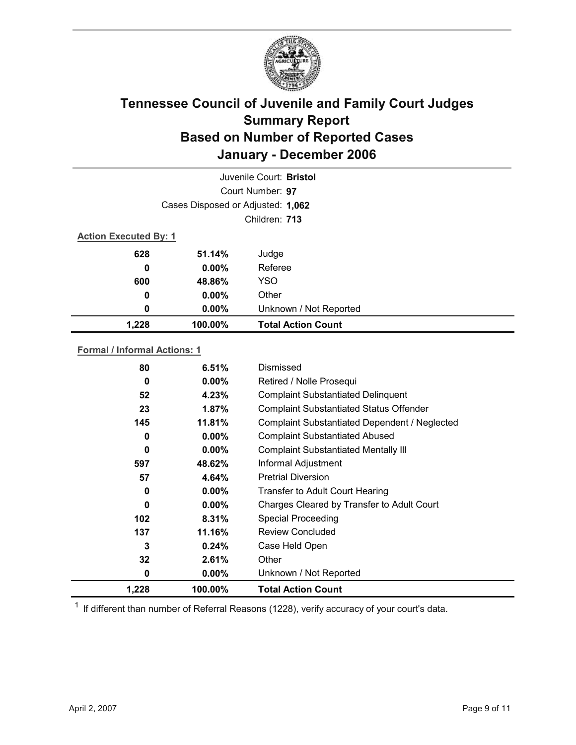

|                                   |          | Juvenile Court: Bristol   |  |  |
|-----------------------------------|----------|---------------------------|--|--|
|                                   |          | Court Number: 97          |  |  |
| Cases Disposed or Adjusted: 1,062 |          |                           |  |  |
|                                   |          | Children: 713             |  |  |
| <b>Action Executed By: 1</b>      |          |                           |  |  |
| 628                               | 51.14%   | Judge                     |  |  |
| 0                                 | $0.00\%$ | Referee                   |  |  |
| 600                               | 48.86%   | <b>YSO</b>                |  |  |
| 0                                 | $0.00\%$ | Other                     |  |  |
| 0                                 | $0.00\%$ | Unknown / Not Reported    |  |  |
| 1,228                             | 100.00%  | <b>Total Action Count</b> |  |  |

### **Formal / Informal Actions: 1**

| 1,228 | 100.00%  | <b>Total Action Count</b>                      |
|-------|----------|------------------------------------------------|
| 0     | $0.00\%$ | Unknown / Not Reported                         |
| 32    | 2.61%    | Other                                          |
| 3     | $0.24\%$ | Case Held Open                                 |
| 137   | 11.16%   | <b>Review Concluded</b>                        |
| 102   | 8.31%    | <b>Special Proceeding</b>                      |
| 0     | $0.00\%$ | Charges Cleared by Transfer to Adult Court     |
| 0     | $0.00\%$ | Transfer to Adult Court Hearing                |
| 57    | 4.64%    | <b>Pretrial Diversion</b>                      |
| 597   | 48.62%   | Informal Adjustment                            |
| 0     | $0.00\%$ | <b>Complaint Substantiated Mentally III</b>    |
| 0     | $0.00\%$ | <b>Complaint Substantiated Abused</b>          |
| 145   | 11.81%   | Complaint Substantiated Dependent / Neglected  |
| 23    | 1.87%    | <b>Complaint Substantiated Status Offender</b> |
| 52    | 4.23%    | <b>Complaint Substantiated Delinquent</b>      |
| 0     | $0.00\%$ | Retired / Nolle Prosequi                       |
| 80    | 6.51%    | Dismissed                                      |
|       |          |                                                |

 $1$  If different than number of Referral Reasons (1228), verify accuracy of your court's data.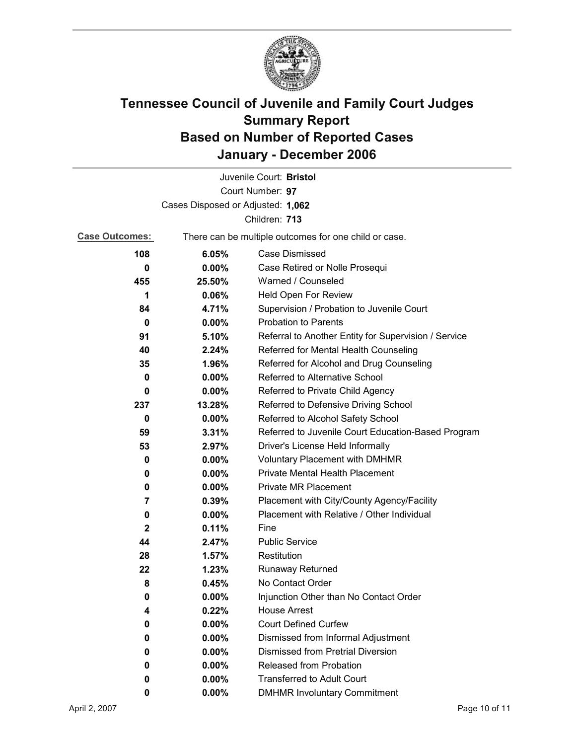

|                                   |                                                       | Juvenile Court: Bristol                              |  |
|-----------------------------------|-------------------------------------------------------|------------------------------------------------------|--|
|                                   |                                                       | Court Number: 97                                     |  |
| Cases Disposed or Adjusted: 1,062 |                                                       |                                                      |  |
| Children: 713                     |                                                       |                                                      |  |
| <b>Case Outcomes:</b>             | There can be multiple outcomes for one child or case. |                                                      |  |
| 108                               | 6.05%                                                 | Case Dismissed                                       |  |
| 0                                 | $0.00\%$                                              | Case Retired or Nolle Prosequi                       |  |
| 455                               | 25.50%                                                | Warned / Counseled                                   |  |
| 1                                 | 0.06%                                                 | Held Open For Review                                 |  |
| 84                                | 4.71%                                                 | Supervision / Probation to Juvenile Court            |  |
| $\bf{0}$                          | 0.00%                                                 | <b>Probation to Parents</b>                          |  |
| 91                                | 5.10%                                                 | Referral to Another Entity for Supervision / Service |  |
| 40                                | 2.24%                                                 | Referred for Mental Health Counseling                |  |
| 35                                | 1.96%                                                 | Referred for Alcohol and Drug Counseling             |  |
| 0                                 | 0.00%                                                 | Referred to Alternative School                       |  |
| 0                                 | $0.00\%$                                              | Referred to Private Child Agency                     |  |
| 237                               | 13.28%                                                | Referred to Defensive Driving School                 |  |
| 0                                 | $0.00\%$                                              | Referred to Alcohol Safety School                    |  |
| 59                                | 3.31%                                                 | Referred to Juvenile Court Education-Based Program   |  |
| 53                                | 2.97%                                                 | Driver's License Held Informally                     |  |
| 0                                 | $0.00\%$                                              | <b>Voluntary Placement with DMHMR</b>                |  |
| 0                                 | $0.00\%$                                              | <b>Private Mental Health Placement</b>               |  |
| 0                                 | $0.00\%$                                              | <b>Private MR Placement</b>                          |  |
| 7                                 | 0.39%                                                 | Placement with City/County Agency/Facility           |  |
| 0                                 | $0.00\%$                                              | Placement with Relative / Other Individual           |  |
| $\mathbf 2$                       | 0.11%                                                 | Fine                                                 |  |
| 44                                | 2.47%                                                 | <b>Public Service</b>                                |  |
| 28                                | 1.57%                                                 | Restitution                                          |  |
| 22                                | 1.23%                                                 | Runaway Returned                                     |  |
| 8                                 | 0.45%                                                 | No Contact Order                                     |  |
| 0                                 | $0.00\%$                                              | Injunction Other than No Contact Order               |  |
| 4                                 | 0.22%                                                 | <b>House Arrest</b>                                  |  |
| 0                                 | $0.00\%$                                              | <b>Court Defined Curfew</b>                          |  |
| 0                                 | $0.00\%$                                              | Dismissed from Informal Adjustment                   |  |
| 0                                 | $0.00\%$                                              | <b>Dismissed from Pretrial Diversion</b>             |  |
| 0                                 | 0.00%                                                 | Released from Probation                              |  |
| 0                                 | $0.00\%$                                              | <b>Transferred to Adult Court</b>                    |  |
| 0                                 | $0.00\%$                                              | <b>DMHMR Involuntary Commitment</b>                  |  |